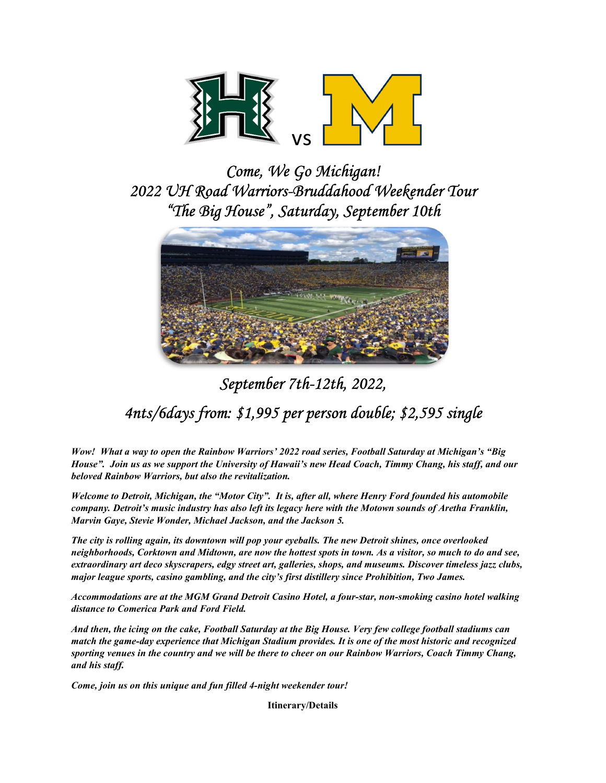

Come, We Go Michigan! 2022 UH Road Warriors-Bruddahood Weekender Tour "The Big House", Saturday, September 10th



# September 7th-12th, 2022, 4nts/6days from: \$1,995 per person double; \$2,595 single

Wow! What a way to open the Rainbow Warriors' 2022 road series, Football Saturday at Michigan's "Big House". Join us as we support the University of Hawaii's new Head Coach, Timmy Chang, his staff, and our beloved Rainbow Warriors, but also the revitalization.

Welcome to Detroit, Michigan, the "Motor City". It is, after all, where Henry Ford founded his automobile company. Detroit's music industry has also left its legacy here with the Motown sounds of Aretha Franklin, Marvin Gaye, Stevie Wonder, Michael Jackson, and the Jackson 5.

The city is rolling again, its downtown will pop your eyeballs. The new Detroit shines, once overlooked neighborhoods, Corktown and Midtown, are now the hottest spots in town. As a visitor, so much to do and see, extraordinary art deco skyscrapers, edgy street art, galleries, shops, and museums. Discover timeless jazz clubs, major league sports, casino gambling, and the city's first distillery since Prohibition, Two James.

Accommodations are at the MGM Grand Detroit Casino Hotel, a four-star, non-smoking casino hotel walking distance to Comerica Park and Ford Field.

And then, the icing on the cake, Football Saturday at the Big House. Very few college football stadiums can match the game-day experience that Michigan Stadium provides. It is one of the most historic and recognized sporting venues in the country and we will be there to cheer on our Rainbow Warriors, Coach Timmy Chang, and his staff.

Come, join us on this unique and fun filled 4-night weekender tour!

Itinerary/Details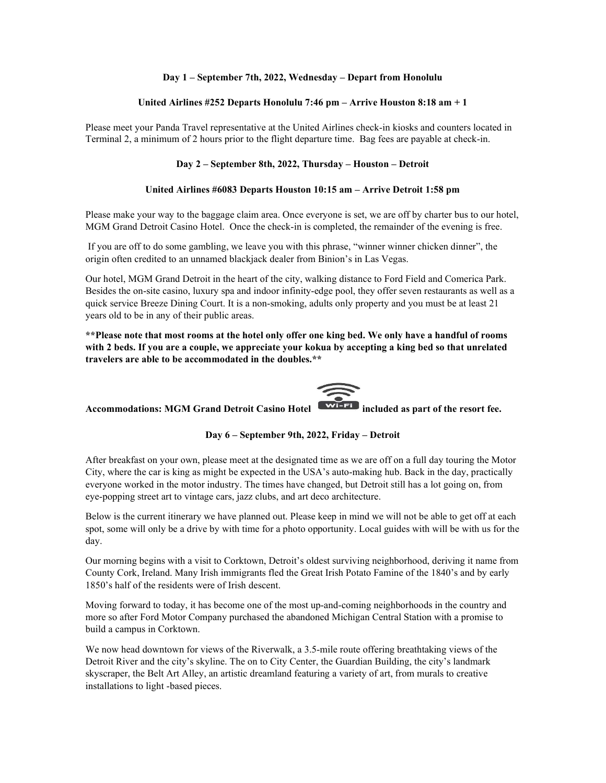## Day 1 – September 7th, 2022, Wednesday – Depart from Honolulu

## United Airlines #252 Departs Honolulu 7:46 pm – Arrive Houston 8:18 am + 1

Please meet your Panda Travel representative at the United Airlines check-in kiosks and counters located in Terminal 2, a minimum of 2 hours prior to the flight departure time. Bag fees are payable at check-in.

## Day 2 – September 8th, 2022, Thursday – Houston – Detroit

### United Airlines #6083 Departs Houston 10:15 am – Arrive Detroit 1:58 pm

Please make your way to the baggage claim area. Once everyone is set, we are off by charter bus to our hotel, MGM Grand Detroit Casino Hotel. Once the check-in is completed, the remainder of the evening is free.

 If you are off to do some gambling, we leave you with this phrase, "winner winner chicken dinner", the origin often credited to an unnamed blackjack dealer from Binion's in Las Vegas.

Our hotel, MGM Grand Detroit in the heart of the city, walking distance to Ford Field and Comerica Park. Besides the on-site casino, luxury spa and indoor infinity-edge pool, they offer seven restaurants as well as a quick service Breeze Dining Court. It is a non-smoking, adults only property and you must be at least 21 years old to be in any of their public areas.

\*\*Please note that most rooms at the hotel only offer one king bed. We only have a handful of rooms with 2 beds. If you are a couple, we appreciate your kokua by accepting a king bed so that unrelated travelers are able to be accommodated in the doubles.\*\*



Accommodations: MGM Grand Detroit Casino Hotel **WIFE** included as part of the resort fee.

## Day 6 – September 9th, 2022, Friday – Detroit

After breakfast on your own, please meet at the designated time as we are off on a full day touring the Motor City, where the car is king as might be expected in the USA's auto-making hub. Back in the day, practically everyone worked in the motor industry. The times have changed, but Detroit still has a lot going on, from eye-popping street art to vintage cars, jazz clubs, and art deco architecture.

Below is the current itinerary we have planned out. Please keep in mind we will not be able to get off at each spot, some will only be a drive by with time for a photo opportunity. Local guides with will be with us for the day.

Our morning begins with a visit to Corktown, Detroit's oldest surviving neighborhood, deriving it name from County Cork, Ireland. Many Irish immigrants fled the Great Irish Potato Famine of the 1840's and by early 1850's half of the residents were of Irish descent.

Moving forward to today, it has become one of the most up-and-coming neighborhoods in the country and more so after Ford Motor Company purchased the abandoned Michigan Central Station with a promise to build a campus in Corktown.

We now head downtown for views of the Riverwalk, a 3.5-mile route offering breathtaking views of the Detroit River and the city's skyline. The on to City Center, the Guardian Building, the city's landmark skyscraper, the Belt Art Alley, an artistic dreamland featuring a variety of art, from murals to creative installations to light -based pieces.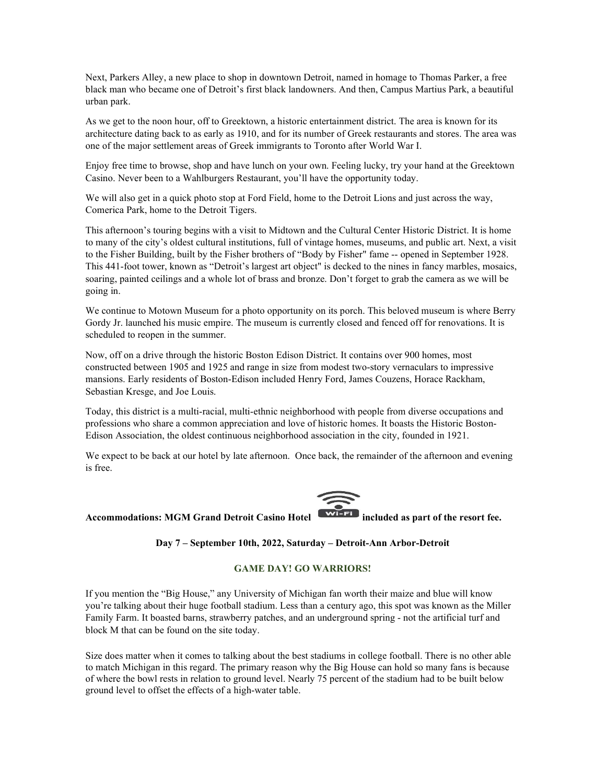Next, Parkers Alley, a new place to shop in downtown Detroit, named in homage to Thomas Parker, a free black man who became one of Detroit's first black landowners. And then, Campus Martius Park, a beautiful urban park.

As we get to the noon hour, off to Greektown, a historic entertainment district. The area is known for its architecture dating back to as early as 1910, and for its number of Greek restaurants and stores. The area was one of the major settlement areas of Greek immigrants to Toronto after World War I.

Enjoy free time to browse, shop and have lunch on your own. Feeling lucky, try your hand at the Greektown Casino. Never been to a Wahlburgers Restaurant, you'll have the opportunity today.

We will also get in a quick photo stop at Ford Field, home to the Detroit Lions and just across the way, Comerica Park, home to the Detroit Tigers.

This afternoon's touring begins with a visit to Midtown and the Cultural Center Historic District. It is home to many of the city's oldest cultural institutions, full of vintage homes, museums, and public art. Next, a visit to the Fisher Building, built by the Fisher brothers of "Body by Fisher" fame -- opened in September 1928. This 441-foot tower, known as "Detroit's largest art object" is decked to the nines in fancy marbles, mosaics, soaring, painted ceilings and a whole lot of brass and bronze. Don't forget to grab the camera as we will be going in.

We continue to Motown Museum for a photo opportunity on its porch. This beloved museum is where Berry Gordy Jr. launched his music empire. The museum is currently closed and fenced off for renovations. It is scheduled to reopen in the summer.

Now, off on a drive through the historic Boston Edison District. It contains over 900 homes, most constructed between 1905 and 1925 and range in size from modest two-story vernaculars to impressive mansions. Early residents of Boston-Edison included Henry Ford, James Couzens, Horace Rackham, Sebastian Kresge, and Joe Louis.

Today, this district is a multi-racial, multi-ethnic neighborhood with people from diverse occupations and professions who share a common appreciation and love of historic homes. It boasts the Historic Boston-Edison Association, the oldest continuous neighborhood association in the city, founded in 1921.

We expect to be back at our hotel by late afternoon. Once back, the remainder of the afternoon and evening is free.



# Accommodations: MGM Grand Detroit Casino Hotel **WIFFI** included as part of the resort fee.

### Day 7 – September 10th, 2022, Saturday – Detroit-Ann Arbor-Detroit

#### GAME DAY! GO WARRIORS!

If you mention the "Big House," any University of Michigan fan worth their maize and blue will know you're talking about their huge football stadium. Less than a century ago, this spot was known as the Miller Family Farm. It boasted barns, strawberry patches, and an underground spring - not the artificial turf and block M that can be found on the site today.

Size does matter when it comes to talking about the best stadiums in college football. There is no other able to match Michigan in this regard. The primary reason why the Big House can hold so many fans is because of where the bowl rests in relation to ground level. Nearly 75 percent of the stadium had to be built below ground level to offset the effects of a high-water table.